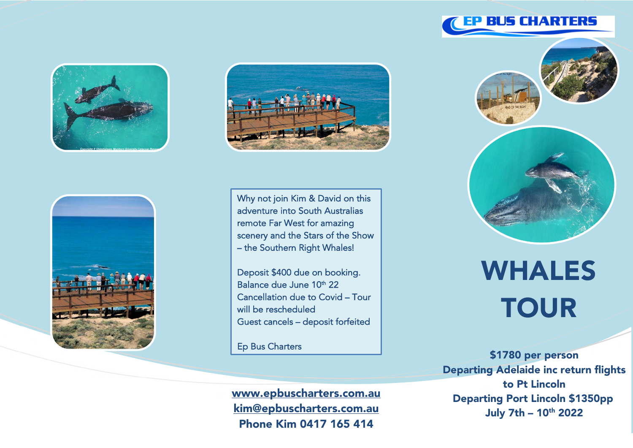







Why not join Kim & David on this adventure into South Australias remote Far West for amazing scenery and the Stars of the Show – the Southern Right Whales!

Deposit \$400 due on booking. Balance due June 10<sup>th</sup> 22 Cancellation due to Covid – Tour will be rescheduled Guest cancels – deposit forfeited

Ep Bus Charters

Ī

www.epbuscharters.com.au kim@epbuscharters.com.au Phone Kim 0417 165 414



## WHALES **TOUR**

\$1780 per person Departing Adelaide inc return flights to Pt Lincoln Departing Port Lincoln \$1350pp July 7th -  $10^{th}$  2022